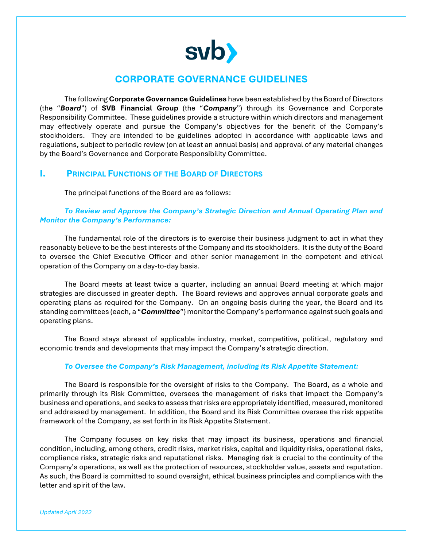

# **CORPORATE GOVERNANCE GUIDELINES**

The following **Corporate Governance Guidelines** have been established by the Board of Directors (the "*Board*") of **SVB Financial Group** (the "*Company*") through its Governance and Corporate Responsibility Committee. These guidelines provide a structure within which directors and management may effectively operate and pursue the Company's objectives for the benefit of the Company's stockholders. They are intended to be guidelines adopted in accordance with applicable laws and regulations, subject to periodic review (on at least an annual basis) and approval of any material changes by the Board's Governance and Corporate Responsibility Committee.

# **I. PRINCIPAL FUNCTIONS OF THE BOARD OF DIRECTORS**

The principal functions of the Board are as follows:

# *To Review and Approve the Company's Strategic Direction and Annual Operating Plan and Monitor the Company's Performance:*

The fundamental role of the directors is to exercise their business judgment to act in what they reasonably believe to be the best interests of the Company and its stockholders. It is the duty of the Board to oversee the Chief Executive Officer and other senior management in the competent and ethical operation of the Company on a day-to-day basis.

The Board meets at least twice a quarter, including an annual Board meeting at which major strategies are discussed in greater depth. The Board reviews and approves annual corporate goals and operating plans as required for the Company. On an ongoing basis during the year, the Board and its standing committees (each, a "*Committee*") monitor the Company's performance against such goals and operating plans.

The Board stays abreast of applicable industry, market, competitive, political, regulatory and economic trends and developments that may impact the Company's strategic direction.

## *To Oversee the Company's Risk Management, including its Risk Appetite Statement:*

 The Board is responsible for the oversight of risks to the Company. The Board, as a whole and primarily through its Risk Committee, oversees the management of risks that impact the Company's business and operations, and seeks to assess that risks are appropriately identified, measured, monitored and addressed by management. In addition, the Board and its Risk Committee oversee the risk appetite framework of the Company, as set forth in its Risk Appetite Statement.

The Company focuses on key risks that may impact its business, operations and financial condition, including, among others, credit risks, market risks, capital and liquidity risks, operational risks, compliance risks, strategic risks and reputational risks. Managing risk is crucial to the continuity of the Company's operations, as well as the protection of resources, stockholder value, assets and reputation. As such, the Board is committed to sound oversight, ethical business principles and compliance with the letter and spirit of the law.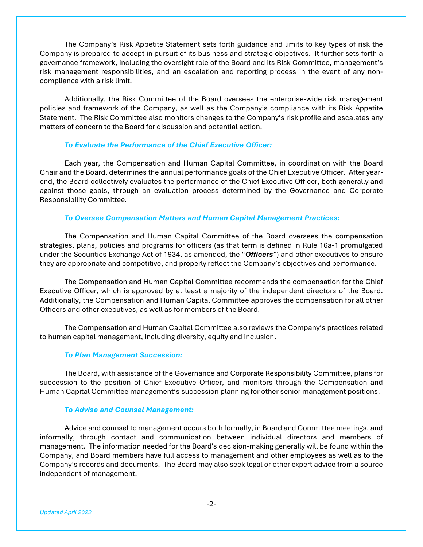The Company's Risk Appetite Statement sets forth guidance and limits to key types of risk the Company is prepared to accept in pursuit of its business and strategic objectives. It further sets forth a governance framework, including the oversight role of the Board and its Risk Committee, management's risk management responsibilities, and an escalation and reporting process in the event of any noncompliance with a risk limit.

Additionally, the Risk Committee of the Board oversees the enterprise-wide risk management policies and framework of the Company, as well as the Company's compliance with its Risk Appetite Statement. The Risk Committee also monitors changes to the Company's risk profile and escalates any matters of concern to the Board for discussion and potential action.

### *To Evaluate the Performance of the Chief Executive Officer:*

Each year, the Compensation and Human Capital Committee, in coordination with the Board Chair and the Board, determines the annual performance goals of the Chief Executive Officer. After yearend, the Board collectively evaluates the performance of the Chief Executive Officer, both generally and against those goals, through an evaluation process determined by the Governance and Corporate Responsibility Committee*.* 

### *To Oversee Compensation Matters and Human Capital Management Practices:*

The Compensation and Human Capital Committee of the Board oversees the compensation strategies, plans, policies and programs for officers (as that term is defined in Rule 16a-1 promulgated under the Securities Exchange Act of 1934, as amended, the "*Officers*") and other executives to ensure they are appropriate and competitive, and properly reflect the Company's objectives and performance.

The Compensation and Human Capital Committee recommends the compensation for the Chief Executive Officer, which is approved by at least a majority of the independent directors of the Board. Additionally, the Compensation and Human Capital Committee approves the compensation for all other Officers and other executives, as well as for members of the Board.

The Compensation and Human Capital Committee also reviews the Company's practices related to human capital management, including diversity, equity and inclusion.

### *To Plan Management Succession:*

The Board, with assistance of the Governance and Corporate Responsibility Committee, plans for succession to the position of Chief Executive Officer, and monitors through the Compensation and Human Capital Committee management's succession planning for other senior management positions.

### *To Advise and Counsel Management:*

Advice and counsel to management occurs both formally, in Board and Committee meetings, and informally, through contact and communication between individual directors and members of management. The information needed for the Board's decision-making generally will be found within the Company, and Board members have full access to management and other employees as well as to the Company's records and documents. The Board may also seek legal or other expert advice from a source independent of management.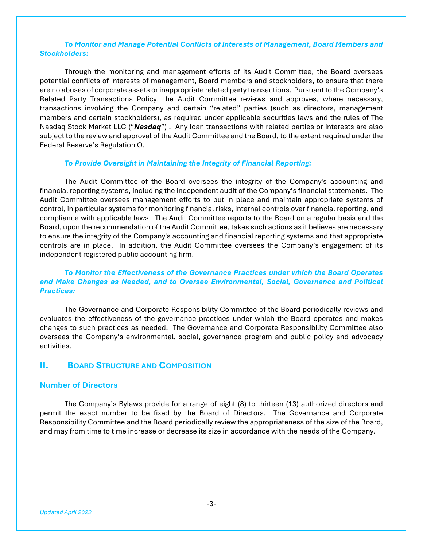## *To Monitor and Manage Potential Conflicts of Interests of Management, Board Members and Stockholders:*

Through the monitoring and management efforts of its Audit Committee, the Board oversees potential conflicts of interests of management, Board members and stockholders, to ensure that there are no abuses of corporate assets or inappropriate related party transactions. Pursuant to the Company's Related Party Transactions Policy, the Audit Committee reviews and approves, where necessary, transactions involving the Company and certain "related" parties (such as directors, management members and certain stockholders), as required under applicable securities laws and the rules of The Nasdaq Stock Market LLC ("*Nasdaq*") . Any loan transactions with related parties or interests are also subject to the review and approval of the Audit Committee and the Board, to the extent required under the Federal Reserve's Regulation O.

### *To Provide Oversight in Maintaining the Integrity of Financial Reporting:*

The Audit Committee of the Board oversees the integrity of the Company's accounting and financial reporting systems, including the independent audit of the Company's financial statements. The Audit Committee oversees management efforts to put in place and maintain appropriate systems of control, in particular systems for monitoring financial risks, internal controls over financial reporting, and compliance with applicable laws. The Audit Committee reports to the Board on a regular basis and the Board, upon the recommendation of the Audit Committee, takes such actions as it believes are necessary to ensure the integrity of the Company's accounting and financial reporting systems and that appropriate controls are in place. In addition, the Audit Committee oversees the Company's engagement of its independent registered public accounting firm.

## *To Monitor the Effectiveness of the Governance Practices under which the Board Operates and Make Changes as Needed, and to Oversee Environmental, Social, Governance and Political Practices:*

The Governance and Corporate Responsibility Committee of the Board periodically reviews and evaluates the effectiveness of the governance practices under which the Board operates and makes changes to such practices as needed. The Governance and Corporate Responsibility Committee also oversees the Company's environmental, social, governance program and public policy and advocacy activities.

# **II. BOARD STRUCTURE AND COMPOSITION**

### **Number of Directors**

 The Company's Bylaws provide for a range of eight (8) to thirteen (13) authorized directors and permit the exact number to be fixed by the Board of Directors. The Governance and Corporate Responsibility Committee and the Board periodically review the appropriateness of the size of the Board, and may from time to time increase or decrease its size in accordance with the needs of the Company.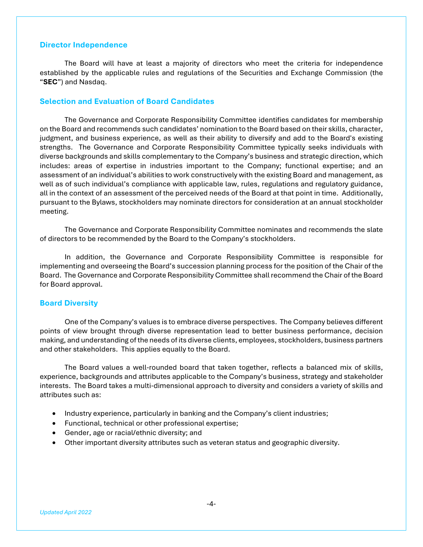## **Director Independence**

The Board will have at least a majority of directors who meet the criteria for independence established by the applicable rules and regulations of the Securities and Exchange Commission (the "**SEC**") and Nasdaq.

### **Selection and Evaluation of Board Candidates**

The Governance and Corporate Responsibility Committee identifies candidates for membership on the Board and recommends such candidates' nomination to the Board based on their skills, character, judgment, and business experience, as well as their ability to diversify and add to the Board's existing strengths. The Governance and Corporate Responsibility Committee typically seeks individuals with diverse backgrounds and skills complementary to the Company's business and strategic direction, which includes: areas of expertise in industries important to the Company; functional expertise; and an assessment of an individual's abilities to work constructively with the existing Board and management, as well as of such individual's compliance with applicable law, rules, regulations and regulatory guidance, all in the context of an assessment of the perceived needs of the Board at that point in time. Additionally, pursuant to the Bylaws, stockholders may nominate directors for consideration at an annual stockholder meeting.

The Governance and Corporate Responsibility Committee nominates and recommends the slate of directors to be recommended by the Board to the Company's stockholders.

In addition, the Governance and Corporate Responsibility Committee is responsible for implementing and overseeing the Board's succession planning process for the position of the Chair of the Board. The Governance and Corporate Responsibility Committee shall recommend the Chair of the Board for Board approval.

#### **Board Diversity**

One of the Company's values is to embrace diverse perspectives. The Company believes different points of view brought through diverse representation lead to better business performance, decision making, and understanding of the needs of its diverse clients, employees, stockholders, business partners and other stakeholders. This applies equally to the Board.

The Board values a well-rounded board that taken together, reflects a balanced mix of skills, experience, backgrounds and attributes applicable to the Company's business, strategy and stakeholder interests. The Board takes a multi-dimensional approach to diversity and considers a variety of skills and attributes such as:

- Industry experience, particularly in banking and the Company's client industries;
- Functional, technical or other professional expertise;
- Gender, age or racial/ethnic diversity; and
- Other important diversity attributes such as veteran status and geographic diversity.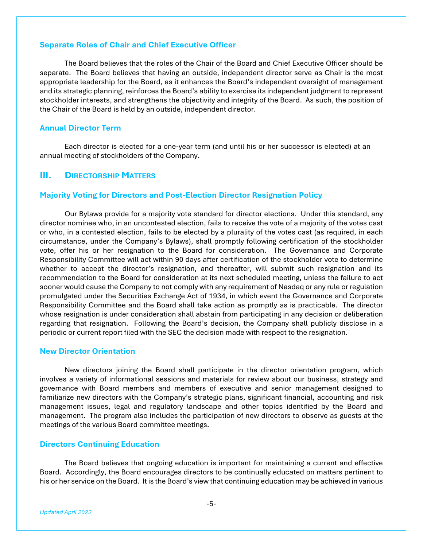## **Separate Roles of Chair and Chief Executive Officer**

The Board believes that the roles of the Chair of the Board and Chief Executive Officer should be separate. The Board believes that having an outside, independent director serve as Chair is the most appropriate leadership for the Board, as it enhances the Board's independent oversight of management and its strategic planning, reinforces the Board's ability to exercise its independent judgment to represent stockholder interests, and strengthens the objectivity and integrity of the Board. As such, the position of the Chair of the Board is held by an outside, independent director.

### **Annual Director Term**

Each director is elected for a one-year term (and until his or her successor is elected) at an annual meeting of stockholders of the Company.

### **III.** DIRECTORSHIP MATTERS

### **Majority Voting for Directors and Post-Election Director Resignation Policy**

Our Bylaws provide for a majority vote standard for director elections. Under this standard, any director nominee who, in an uncontested election, fails to receive the vote of a majority of the votes cast or who, in a contested election, fails to be elected by a plurality of the votes cast (as required, in each circumstance, under the Company's Bylaws), shall promptly following certification of the stockholder vote, offer his or her resignation to the Board for consideration. The Governance and Corporate Responsibility Committee will act within 90 days after certification of the stockholder vote to determine whether to accept the director's resignation, and thereafter, will submit such resignation and its recommendation to the Board for consideration at its next scheduled meeting, unless the failure to act sooner would cause the Company to not comply with any requirement of Nasdaq or any rule or regulation promulgated under the Securities Exchange Act of 1934, in which event the Governance and Corporate Responsibility Committee and the Board shall take action as promptly as is practicable. The director whose resignation is under consideration shall abstain from participating in any decision or deliberation regarding that resignation. Following the Board's decision, the Company shall publicly disclose in a periodic or current report filed with the SEC the decision made with respect to the resignation.

### **New Director Orientation**

New directors joining the Board shall participate in the director orientation program, which involves a variety of informational sessions and materials for review about our business, strategy and governance with Board members and members of executive and senior management designed to familiarize new directors with the Company's strategic plans, significant financial, accounting and risk management issues, legal and regulatory landscape and other topics identified by the Board and management. The program also includes the participation of new directors to observe as guests at the meetings of the various Board committee meetings.

### **Directors Continuing Education**

 The Board believes that ongoing education is important for maintaining a current and effective Board. Accordingly, the Board encourages directors to be continually educated on matters pertinent to his or her service on the Board. It is the Board's view that continuing education may be achieved in various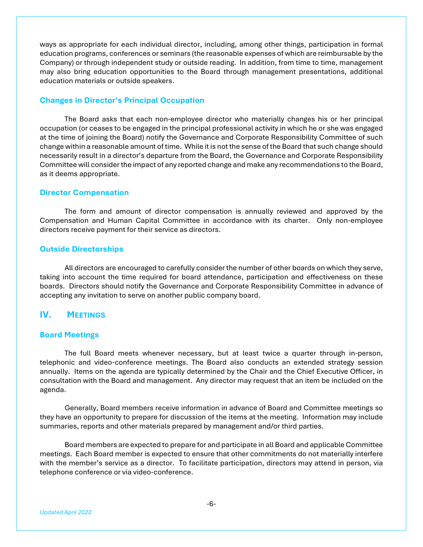ways as appropriate for each individual director, including, among other things, participation in formal education programs, conferences or seminars (the reasonable expenses of which are reimbursable by the Company) or through independent study or outside reading. In addition, from time to time, management may also bring education opportunities to the Board through management presentations, additional education materials or outside speakers.

### **Changes in Director's Principal Occupation**

The Board asks that each non-employee director who materially changes his or her principal occupation (or ceases to be engaged in the principal professional activity in which he or she was engaged at the time of joining the Board) notify the Governance and Corporate Responsibility Committee of such change within a reasonable amount of time. While it is not the sense of the Board that such change should necessarily result in a director's departure from the Board, the Governance and Corporate Responsibility Committee will consider the impact of any reported change and make any recommendations to the Board, as it deems appropriate.

### **Director Compensation**

The form and amount of director compensation is annually reviewed and approved by the Compensation and Human Capital Committee in accordance with its charter. Only non-employee directors receive payment for their service as directors.

## **Outside Directorships**

 All directors are encouraged to carefully consider the number of other boards on which they serve, taking into account the time required for board attendance, participation and effectiveness on these boards. Directors should notify the Governance and Corporate Responsibility Committee in advance of accepting any invitation to serve on another public company board.

# **IV. MEETINGS**

### **Board Meetings**

The full Board meets whenever necessary, but at least twice a quarter through in-person, telephonic and video-conference meetings. The Board also conducts an extended strategy session annually. Items on the agenda are typically determined by the Chair and the Chief Executive Officer, in consultation with the Board and management. Any director may request that an item be included on the agenda.

Generally, Board members receive information in advance of Board and Committee meetings so they have an opportunity to prepare for discussion of the items at the meeting. Information may include summaries, reports and other materials prepared by management and/or third parties.

Board members are expected to prepare for and participate in all Board and applicable Committee meetings. Each Board member is expected to ensure that other commitments do not materially interfere with the member's service as a director. To facilitate participation, directors may attend in person, via telephone conference or via video-conference.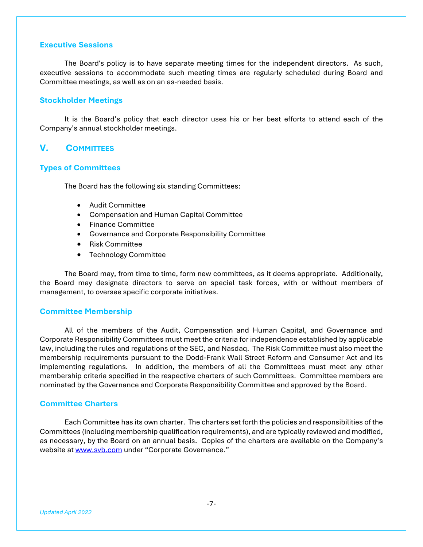### **Executive Sessions**

The Board's policy is to have separate meeting times for the independent directors. As such, executive sessions to accommodate such meeting times are regularly scheduled during Board and Committee meetings, as well as on an as-needed basis.

### **Stockholder Meetings**

 It is the Board's policy that each director uses his or her best efforts to attend each of the Company's annual stockholder meetings.

# **V. COMMITTEES**

## **Types of Committees**

The Board has the following six standing Committees:

- Audit Committee
- Compensation and Human Capital Committee
- Finance Committee
- Governance and Corporate Responsibility Committee
- Risk Committee
- Technology Committee

The Board may, from time to time, form new committees, as it deems appropriate. Additionally, the Board may designate directors to serve on special task forces, with or without members of management, to oversee specific corporate initiatives.

#### **Committee Membership**

All of the members of the Audit, Compensation and Human Capital, and Governance and Corporate Responsibility Committees must meet the criteria for independence established by applicable law, including the rules and regulations of the SEC, and Nasdaq. The Risk Committee must also meet the membership requirements pursuant to the Dodd-Frank Wall Street Reform and Consumer Act and its implementing regulations. In addition, the members of all the Committees must meet any other membership criteria specified in the respective charters of such Committees. Committee members are nominated by the Governance and Corporate Responsibility Committee and approved by the Board.

### **Committee Charters**

Each Committee has its own charter. The charters set forth the policies and responsibilities of the Committees (including membership qualification requirements), and are typically reviewed and modified, as necessary, by the Board on an annual basis. Copies of the charters are available on the Company's website at www.svb.com under "Corporate Governance."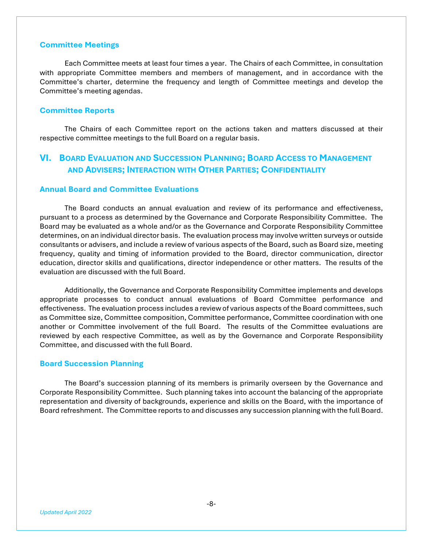### **Committee Meetings**

Each Committee meets at least four times a year. The Chairs of each Committee, in consultation with appropriate Committee members and members of management, and in accordance with the Committee's charter, determine the frequency and length of Committee meetings and develop the Committee's meeting agendas.

### **Committee Reports**

The Chairs of each Committee report on the actions taken and matters discussed at their respective committee meetings to the full Board on a regular basis.

# **VI. BOARD EVALUATION AND SUCCESSION PLANNING; BOARD ACCESS TO MANAGEMENT AND ADVISERS; INTERACTION WITH OTHER PARTIES; CONFIDENTIALITY**

## **Annual Board and Committee Evaluations**

 The Board conducts an annual evaluation and review of its performance and effectiveness, pursuant to a process as determined by the Governance and Corporate Responsibility Committee. The Board may be evaluated as a whole and/or as the Governance and Corporate Responsibility Committee determines, on an individual director basis. The evaluation process may involve written surveys or outside consultants or advisers, and include a review of various aspects of the Board, such as Board size, meeting frequency, quality and timing of information provided to the Board, director communication, director education, director skills and qualifications, director independence or other matters. The results of the evaluation are discussed with the full Board.

 Additionally, the Governance and Corporate Responsibility Committee implements and develops appropriate processes to conduct annual evaluations of Board Committee performance and effectiveness. The evaluation process includes a review of various aspects of the Board committees, such as Committee size, Committee composition, Committee performance, Committee coordination with one another or Committee involvement of the full Board. The results of the Committee evaluations are reviewed by each respective Committee, as well as by the Governance and Corporate Responsibility Committee, and discussed with the full Board.

### **Board Succession Planning**

The Board's succession planning of its members is primarily overseen by the Governance and Corporate Responsibility Committee. Such planning takes into account the balancing of the appropriate representation and diversity of backgrounds, experience and skills on the Board, with the importance of Board refreshment. The Committee reports to and discusses any succession planning with the full Board.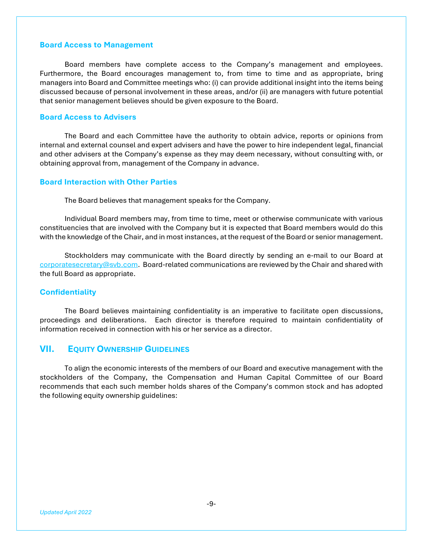## **Board Access to Management**

Board members have complete access to the Company's management and employees. Furthermore, the Board encourages management to, from time to time and as appropriate, bring managers into Board and Committee meetings who: (i) can provide additional insight into the items being discussed because of personal involvement in these areas, and/or (ii) are managers with future potential that senior management believes should be given exposure to the Board.

### **Board Access to Advisers**

The Board and each Committee have the authority to obtain advice, reports or opinions from internal and external counsel and expert advisers and have the power to hire independent legal, financial and other advisers at the Company's expense as they may deem necessary, without consulting with, or obtaining approval from, management of the Company in advance.

## **Board Interaction with Other Parties**

The Board believes that management speaks for the Company.

Individual Board members may, from time to time, meet or otherwise communicate with various constituencies that are involved with the Company but it is expected that Board members would do this with the knowledge of the Chair, and in most instances, at the request of the Board or senior management.

Stockholders may communicate with the Board directly by sending an e-mail to our Board at corporatesecretary@svb.com. Board-related communications are reviewed by the Chair and shared with the full Board as appropriate.

## **Confidentiality**

The Board believes maintaining confidentiality is an imperative to facilitate open discussions, proceedings and deliberations. Each director is therefore required to maintain confidentiality of information received in connection with his or her service as a director.

# **VII. EQUITY OWNERSHIP GUIDELINES**

To align the economic interests of the members of our Board and executive management with the stockholders of the Company, the Compensation and Human Capital Committee of our Board recommends that each such member holds shares of the Company's common stock and has adopted the following equity ownership guidelines: